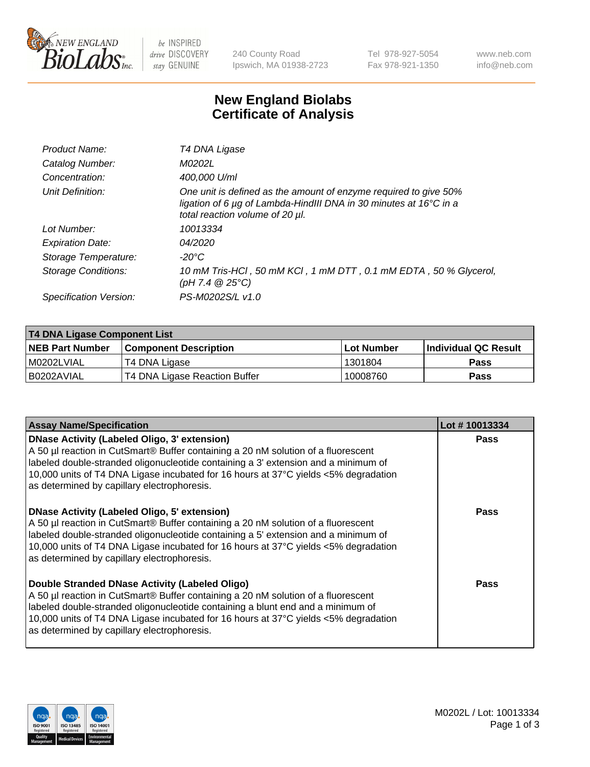

be INSPIRED drive DISCOVERY stay GENUINE

240 County Road Ipswich, MA 01938-2723 Tel 978-927-5054 Fax 978-921-1350 www.neb.com info@neb.com

## **New England Biolabs Certificate of Analysis**

| Product Name:           | T4 DNA Ligase                                                                                                                                                                           |
|-------------------------|-----------------------------------------------------------------------------------------------------------------------------------------------------------------------------------------|
| Catalog Number:         | M0202L                                                                                                                                                                                  |
| Concentration:          | 400,000 U/ml                                                                                                                                                                            |
| Unit Definition:        | One unit is defined as the amount of enzyme required to give 50%<br>ligation of 6 $\mu$ g of Lambda-HindIII DNA in 30 minutes at 16 $\degree$ C in a<br>total reaction volume of 20 µl. |
| Lot Number:             | 10013334                                                                                                                                                                                |
| <b>Expiration Date:</b> | 04/2020                                                                                                                                                                                 |
| Storage Temperature:    | -20°C                                                                                                                                                                                   |
| Storage Conditions:     | 10 mM Tris-HCl, 50 mM KCl, 1 mM DTT, 0.1 mM EDTA, 50 % Glycerol,<br>(pH 7.4 $@25°C$ )                                                                                                   |
| Specification Version:  | PS-M0202S/L v1.0                                                                                                                                                                        |

| <b>T4 DNA Ligase Component List</b> |                               |            |                             |  |  |
|-------------------------------------|-------------------------------|------------|-----------------------------|--|--|
| <b>NEB Part Number</b>              | <b>Component Description</b>  | Lot Number | <b>Individual QC Result</b> |  |  |
| I M0202LVIAL                        | T4 DNA Ligase                 | 1301804    | <b>Pass</b>                 |  |  |
| I B0202AVIAL                        | T4 DNA Ligase Reaction Buffer | 10008760   | <b>Pass</b>                 |  |  |

| <b>Assay Name/Specification</b>                                                                                                                                                                                                                                                                                                                                      | Lot #10013334 |
|----------------------------------------------------------------------------------------------------------------------------------------------------------------------------------------------------------------------------------------------------------------------------------------------------------------------------------------------------------------------|---------------|
| <b>DNase Activity (Labeled Oligo, 3' extension)</b><br>A 50 µl reaction in CutSmart® Buffer containing a 20 nM solution of a fluorescent<br>labeled double-stranded oligonucleotide containing a 3' extension and a minimum of<br>10,000 units of T4 DNA Ligase incubated for 16 hours at 37°C yields <5% degradation<br>as determined by capillary electrophoresis. | <b>Pass</b>   |
| <b>DNase Activity (Labeled Oligo, 5' extension)</b><br>A 50 µl reaction in CutSmart® Buffer containing a 20 nM solution of a fluorescent<br>labeled double-stranded oligonucleotide containing a 5' extension and a minimum of<br>10,000 units of T4 DNA Ligase incubated for 16 hours at 37°C yields <5% degradation<br>as determined by capillary electrophoresis. | Pass          |
| Double Stranded DNase Activity (Labeled Oligo)<br>A 50 µl reaction in CutSmart® Buffer containing a 20 nM solution of a fluorescent<br>labeled double-stranded oligonucleotide containing a blunt end and a minimum of<br>10,000 units of T4 DNA Ligase incubated for 16 hours at 37°C yields <5% degradation<br>as determined by capillary electrophoresis.         | Pass          |

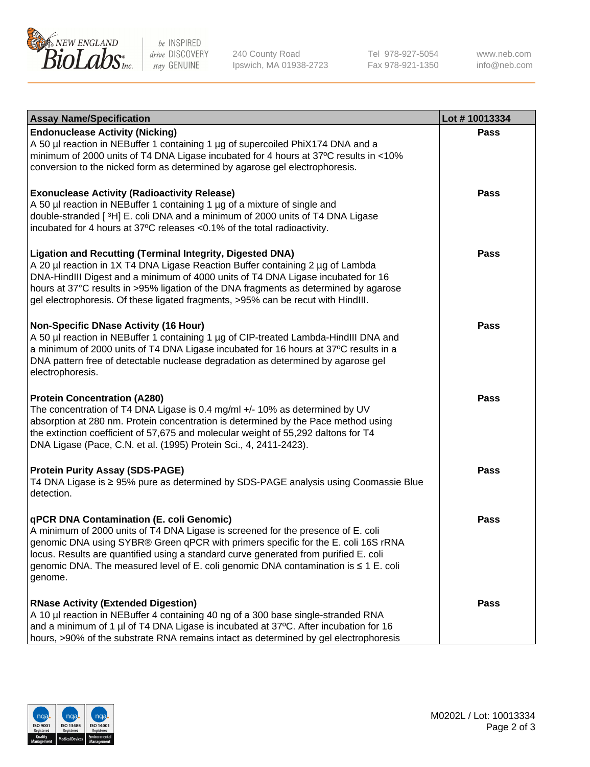

be INSPIRED drive DISCOVERY stay GENUINE

240 County Road Ipswich, MA 01938-2723 Tel 978-927-5054 Fax 978-921-1350

www.neb.com info@neb.com

| <b>Assay Name/Specification</b>                                                                                                                                                                                                                                                                                                                                                                                    | Lot #10013334 |
|--------------------------------------------------------------------------------------------------------------------------------------------------------------------------------------------------------------------------------------------------------------------------------------------------------------------------------------------------------------------------------------------------------------------|---------------|
| <b>Endonuclease Activity (Nicking)</b><br>A 50 µl reaction in NEBuffer 1 containing 1 µg of supercoiled PhiX174 DNA and a<br>minimum of 2000 units of T4 DNA Ligase incubated for 4 hours at 37°C results in <10%<br>conversion to the nicked form as determined by agarose gel electrophoresis.                                                                                                                   | <b>Pass</b>   |
| <b>Exonuclease Activity (Radioactivity Release)</b><br>A 50 µl reaction in NEBuffer 1 containing 1 µg of a mixture of single and<br>double-stranded [3H] E. coli DNA and a minimum of 2000 units of T4 DNA Ligase<br>incubated for 4 hours at 37°C releases <0.1% of the total radioactivity.                                                                                                                      | <b>Pass</b>   |
| <b>Ligation and Recutting (Terminal Integrity, Digested DNA)</b><br>A 20 µl reaction in 1X T4 DNA Ligase Reaction Buffer containing 2 µg of Lambda<br>DNA-HindIII Digest and a minimum of 4000 units of T4 DNA Ligase incubated for 16<br>hours at 37°C results in >95% ligation of the DNA fragments as determined by agarose<br>gel electrophoresis. Of these ligated fragments, >95% can be recut with HindIII. | <b>Pass</b>   |
| <b>Non-Specific DNase Activity (16 Hour)</b><br>A 50 µl reaction in NEBuffer 1 containing 1 µg of CIP-treated Lambda-HindIII DNA and<br>a minimum of 2000 units of T4 DNA Ligase incubated for 16 hours at 37°C results in a<br>DNA pattern free of detectable nuclease degradation as determined by agarose gel<br>electrophoresis.                                                                               | <b>Pass</b>   |
| <b>Protein Concentration (A280)</b><br>The concentration of T4 DNA Ligase is 0.4 mg/ml +/- 10% as determined by UV<br>absorption at 280 nm. Protein concentration is determined by the Pace method using<br>the extinction coefficient of 57,675 and molecular weight of 55,292 daltons for T4<br>DNA Ligase (Pace, C.N. et al. (1995) Protein Sci., 4, 2411-2423).                                                | <b>Pass</b>   |
| <b>Protein Purity Assay (SDS-PAGE)</b><br>T4 DNA Ligase is ≥ 95% pure as determined by SDS-PAGE analysis using Coomassie Blue<br>detection.                                                                                                                                                                                                                                                                        | <b>Pass</b>   |
| qPCR DNA Contamination (E. coli Genomic)<br>A minimum of 2000 units of T4 DNA Ligase is screened for the presence of E. coli<br>genomic DNA using SYBR® Green qPCR with primers specific for the E. coli 16S rRNA<br>locus. Results are quantified using a standard curve generated from purified E. coli<br>genomic DNA. The measured level of E. coli genomic DNA contamination is ≤ 1 E. coli<br>genome.        | Pass          |
| <b>RNase Activity (Extended Digestion)</b><br>A 10 µl reaction in NEBuffer 4 containing 40 ng of a 300 base single-stranded RNA<br>and a minimum of 1 µl of T4 DNA Ligase is incubated at 37°C. After incubation for 16<br>hours, >90% of the substrate RNA remains intact as determined by gel electrophoresis                                                                                                    | <b>Pass</b>   |